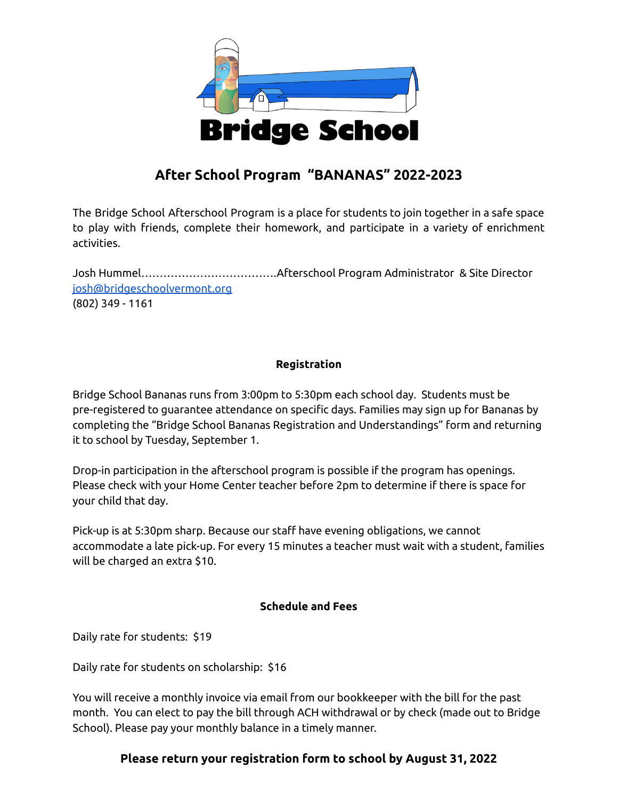

# **After School Program "BANANAS" 2022-2023**

The Bridge School Afterschool Program is a place for students to join together in a safe space to play with friends, complete their homework, and participate in a variety of enrichment activities.

Josh Hummel……………………………….Afterschool Program Administrator & Site Director [josh@bridgeschoolvermont.org](mailto:josh@bridgeschoolvermont.org) (802) 349 - 1161

## **Registration**

Bridge School Bananas runs from 3:00pm to 5:30pm each school day. Students must be pre-registered to guarantee attendance on specific days. Families may sign up for Bananas by completing the "Bridge School Bananas Registration and Understandings" form and returning it to school by Tuesday, September 1.

Drop-in participation in the afterschool program is possible if the program has openings. Please check with your Home Center teacher before 2pm to determine if there is space for your child that day.

Pick-up is at 5:30pm sharp. Because our staff have evening obligations, we cannot accommodate a late pick-up. For every 15 minutes a teacher must wait with a student, families will be charged an extra \$10.

### **Schedule and Fees**

Daily rate for students: \$19

Daily rate for students on scholarship: \$16

You will receive a monthly invoice via email from our bookkeeper with the bill for the past month. You can elect to pay the bill through ACH withdrawal or by check (made out to Bridge School). Please pay your monthly balance in a timely manner.

## **Please return your registration form to school by August 31, 2022**